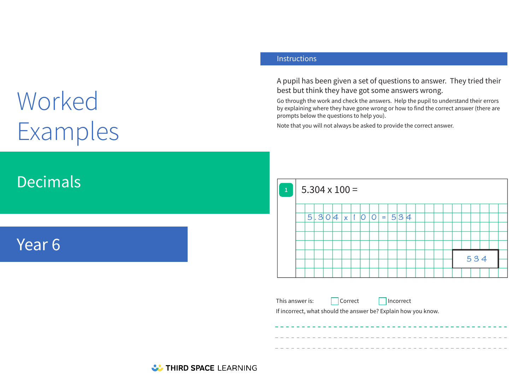# Worked Examples

## Decimals

## Year 6

#### **Instructions**

A pupil has been given a set of questions to answer. They tried their best but think they have got some answers wrong.

Go through the work and check the answers. Help the pupil to understand their errors by explaining where they have gone wrong or how to find the correct answer (there are prompts below the questions to help you).

Note that you will not always be asked to provide the correct answer.



This answer is:  $\Box$  Correct  $\Box$  Incorrect

If incorrect, what should the answer be? Explain how you know.

**W. THIRD SPACE LEARNING**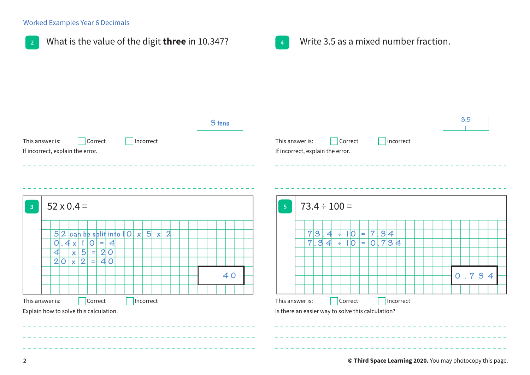#### Worked Examples Year 6 Decimals

|                                                 |        | Write 3.5 as a mixed number fraction.<br>$\overline{4}$ |  |
|-------------------------------------------------|--------|---------------------------------------------------------|--|
| This answer is:<br>Incorrect<br>Correct         | 3 tens | 3.5<br>This answer is:<br>Correct<br>Incorrect          |  |
| If incorrect, explain the error.                |        | If incorrect, explain the error.                        |  |
| $52 \times 0.4 =$                               |        | $73.4 \div 100 =$<br>$\overline{\mathbf{5}}$            |  |
| $5 2$ can be split into $ 0x $ 5<br>$x \mid 2$  |        | 7 3 .4<br>$ 0 $ =<br>$\overline{7}$<br> 3 4<br>H.       |  |
| $ 0 = 4 $<br>$0.4x$  1                          |        | 7.34<br>$1 0  = 0.734$<br>극                             |  |
| $x 5 =$<br> 2 0 <br>$\left  \mathbf{4} \right $ |        |                                                         |  |
| $2 0  \times  2 $<br>40<br>$\equiv$             |        |                                                         |  |
|                                                 | 40     | 0.734                                                   |  |
|                                                 |        |                                                         |  |
|                                                 |        |                                                         |  |
| This answer is:<br>Correct<br>Incorrect         |        | This answer is:<br>Correct<br>Incorrect                 |  |
| Explain how to solve this calculation.          |        | Is there an easier way to solve this calculation?       |  |
|                                                 |        |                                                         |  |
|                                                 |        |                                                         |  |
|                                                 |        |                                                         |  |